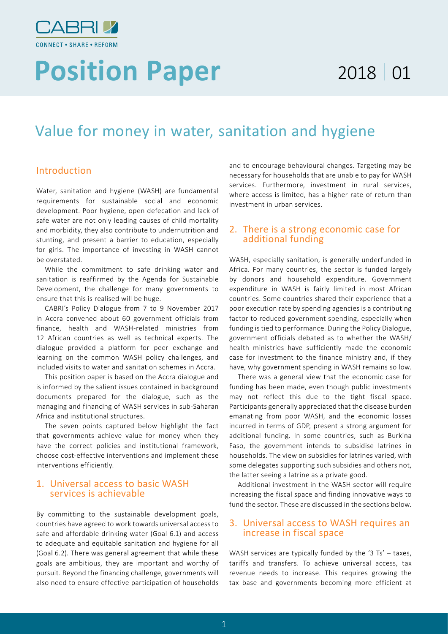

# **Position Paper** 2018 01

## Value for money in water, sanitation and hygiene

#### Introduction

Water, sanitation and hygiene (WASH) are fundamental requirements for sustainable social and economic development. Poor hygiene, open defecation and lack of safe water are not only leading causes of child mortality and morbidity, they also contribute to undernutrition and stunting, and present a barrier to education, especially for girls. The importance of investing in WASH cannot be overstated.

While the commitment to safe drinking water and sanitation is reaffirmed by the Agenda for Sustainable Development, the challenge for many governments to ensure that this is realised will be huge.

CABRI's Policy Dialogue from 7 to 9 November 2017 in Accra convened about 60 government officials from finance, health and WASH-related ministries from 12 African countries as well as technical experts. The dialogue provided a platform for peer exchange and learning on the common WASH policy challenges, and included visits to water and sanitation schemes in Accra.

This position paper is based on the Accra dialogue and is informed by the salient issues contained in background documents prepared for the dialogue, such as the managing and financing of WASH services in sub-Saharan Africa and institutional structures.

The seven points captured below highlight the fact that governments achieve value for money when they have the correct policies and institutional framework, choose cost-effective interventions and implement these interventions efficiently.

#### 1. Universal access to basic WASH services is achievable

By committing to the sustainable development goals, countries have agreed to work towards universal access to safe and affordable drinking water (Goal 6.1) and access to adequate and equitable sanitation and hygiene for all (Goal 6.2). There was general agreement that while these goals are ambitious, they are important and worthy of pursuit. Beyond the financing challenge, governments will also need to ensure effective participation of households and to encourage behavioural changes. Targeting may be necessary for households that are unable to pay for WASH services. Furthermore, investment in rural services, where access is limited, has a higher rate of return than investment in urban services.

#### 2. There is a strong economic case for additional funding

WASH, especially sanitation, is generally underfunded in Africa. For many countries, the sector is funded largely by donors and household expenditure. Government expenditure in WASH is fairly limited in most African countries. Some countries shared their experience that a poor execution rate by spending agencies is a contributing factor to reduced government spending, especially when funding is tied to performance. During the Policy Dialogue, government officials debated as to whether the WASH/ health ministries have sufficiently made the economic case for investment to the finance ministry and, if they have, why government spending in WASH remains so low.

There was a general view that the economic case for funding has been made, even though public investments may not reflect this due to the tight fiscal space. Participants generally appreciated that the disease burden emanating from poor WASH, and the economic losses incurred in terms of GDP, present a strong argument for additional funding. In some countries, such as Burkina Faso, the government intends to subsidise latrines in households. The view on subsidies for latrines varied, with some delegates supporting such subsidies and others not, the latter seeing a latrine as a private good.

Additional investment in the WASH sector will require increasing the fiscal space and finding innovative ways to fund the sector. These are discussed in the sections below.

#### 3. Universal access to WASH requires an increase in fiscal space

WASH services are typically funded by the '3 Ts' – taxes, tariffs and transfers. To achieve universal access, tax revenue needs to increase. This requires growing the tax base and governments becoming more efficient at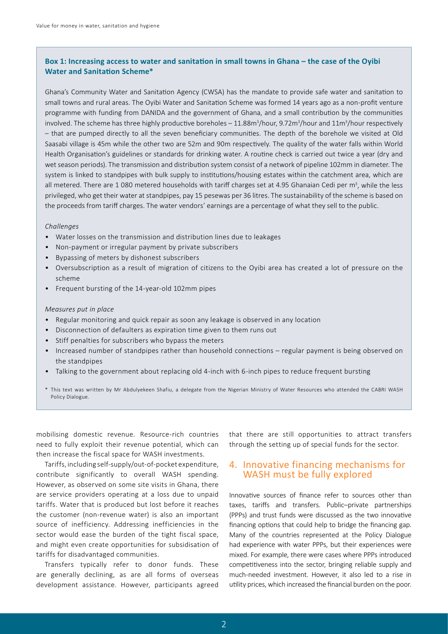#### **Box 1: Increasing access to water and sanitation in small towns in Ghana – the case of the Oyibi Water and Sanitation Scheme\***

Ghana's Community Water and Sanitation Agency (CWSA) has the mandate to provide safe water and sanitation to small towns and rural areas. The Oyibi Water and Sanitation Scheme was formed 14 years ago as a non-profit venture programme with funding from DANIDA and the government of Ghana, and a small contribution by the communities involved. The scheme has three highly productive boreholes  $-11.88m^3/h$ our, 9.72m<sup>3</sup>/hour and  $11m^3/h$ our respectively – that are pumped directly to all the seven beneficiary communities. The depth of the borehole we visited at Old Saasabi village is 45m while the other two are 52m and 90m respectively. The quality of the water falls within World Health Organisation's guidelines or standards for drinking water. A routine check is carried out twice a year (dry and wet season periods). The transmission and distribution system consist of a network of pipeline 102mm in diameter. The system is linked to standpipes with bulk supply to institutions/housing estates within the catchment area, which are all metered. There are 1080 metered households with tariff charges set at 4.95 Ghanaian Cedi per m<sup>3</sup>, while the less privileged, who get their water at standpipes, pay 15 pesewas per 36 litres. The sustainability of the scheme is based on the proceeds from tariff charges. The water vendors' earnings are a percentage of what they sell to the public.

#### *Challenges*

- Water losses on the transmission and distribution lines due to leakages
- Non-payment or irregular payment by private subscribers
- Bypassing of meters by dishonest subscribers
- Oversubscription as a result of migration of citizens to the Oyibi area has created a lot of pressure on the scheme
- Frequent bursting of the 14-year-old 102mm pipes

#### *Measures put in place*

- Regular monitoring and quick repair as soon any leakage is observed in any location
- Disconnection of defaulters as expiration time given to them runs out
- Stiff penalties for subscribers who bypass the meters
- Increased number of standpipes rather than household connections regular payment is being observed on the standpipes
- Talking to the government about replacing old 4-inch with 6-inch pipes to reduce frequent bursting
- \* This text was written by Mr Abdulyekeen Shafiu, a delegate from the Nigerian Ministry of Water Resources who attended the CABRI WASH Policy Dialogue.

mobilising domestic revenue. Resource-rich countries need to fully exploit their revenue potential, which can then increase the fiscal space for WASH investments.

Tariffs, including self-supply/out-of-pocket expenditure, contribute significantly to overall WASH spending. However, as observed on some site visits in Ghana, there are service providers operating at a loss due to unpaid tariffs. Water that is produced but lost before it reaches the customer (non-revenue water) is also an important source of inefficiency. Addressing inefficiencies in the sector would ease the burden of the tight fiscal space, and might even create opportunities for subsidisation of tariffs for disadvantaged communities.

Transfers typically refer to donor funds. These are generally declining, as are all forms of overseas development assistance. However, participants agreed

that there are still opportunities to attract transfers through the setting up of special funds for the sector.

#### 4. Innovative financing mechanisms for WASH must be fully explored

Innovative sources of finance refer to sources other than taxes, tariffs and transfers. Public–private partnerships (PPPs) and trust funds were discussed as the two innovative financing options that could help to bridge the financing gap. Many of the countries represented at the Policy Dialogue had experience with water PPPs, but their experiences were mixed. For example, there were cases where PPPs introduced competitiveness into the sector, bringing reliable supply and much-needed investment. However, it also led to a rise in utility prices, which increased the financial burden on the poor.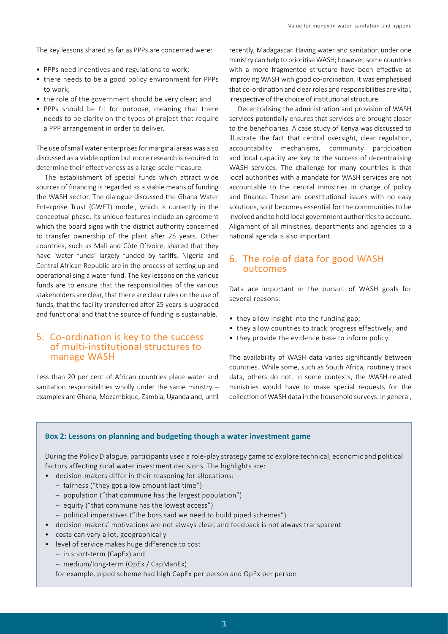The key lessons shared as far as PPPs are concerned were:

- PPPs need incentives and regulations to work;
- there needs to be a good policy environment for PPPs to work;
- the role of the government should be very clear; and
- PPPs should be fit for purpose, meaning that there needs to be clarity on the types of project that require a PPP arrangement in order to deliver.

The use of small water enterprises for marginal areas was also discussed as a viable option but more research is required to determine their effectiveness as a large-scale measure.

The establishment of special funds which attract wide sources of financing is regarded as a viable means of funding the WASH sector. The dialogue discussed the Ghana Water Enterprise Trust (GWET) model, which is currently in the conceptual phase. Its unique features include an agreement which the board signs with the district authority concerned to transfer ownership of the plant after 25 years. Other countries, such as Mali and Côte D'Ivoire, shared that they have 'water funds' largely funded by tariffs. Nigeria and Central African Republic are in the process of setting up and operationalising a water fund. The key lessons on the various funds are to ensure that the responsibilities of the various stakeholders are clear, that there are clear rules on the use of funds, that the facility transferred after 25 years is upgraded and functional and that the source of funding is sustainable.

#### 5. Co-ordination is key to the success of multi-institutional structures to manage WASH

Less than 20 per cent of African countries place water and sanitation responsibilities wholly under the same ministry – examples are Ghana, Mozambique, Zambia, Uganda and, until

recently, Madagascar. Having water and sanitation under one ministry can help to prioritise WASH; however, some countries with a more fragmented structure have been effective at improving WASH with good co-ordination. It was emphasised that co-ordination and clear roles and responsibilities are vital, irrespective of the choice of institutional structure.

Decentralising the administration and provision of WASH services potentially ensures that services are brought closer to the beneficiaries. A case study of Kenya was discussed to illustrate the fact that central oversight, clear regulation, accountability mechanisms, community participation and local capacity are key to the success of decentralising WASH services. The challenge for many countries is that local authorities with a mandate for WASH services are not accountable to the central ministries in charge of policy and finance. These are constitutional issues with no easy solutions, so it becomes essential for the communities to be involved and to hold local government authorities to account. Alignment of all ministries, departments and agencies to a national agenda is also important.

### 6. The role of data for good WASH outcomes

Data are important in the pursuit of WASH goals for several reasons:

- they allow insight into the funding gap;
- they allow countries to track progress effectively; and
- they provide the evidence base to inform policy.

The availability of WASH data varies significantly between countries. While some, such as South Africa, routinely track data, others do not. In some contexts, the WASH-related ministries would have to make special requests for the collection of WASH data in the household surveys. In general,

#### **Box 2: Lessons on planning and budgeting though a water investment game**

During the Policy Dialogue, participants used a role-play strategy game to explore technical, economic and political factors affecting rural water investment decisions. The highlights are:

- decision-makers differ in their reasoning for allocations:
	- fairness ("they got a low amount last time")
	- population ("that commune has the largest population")
	- equity ("that commune has the lowest access")
	- political imperatives ("the boss said we need to build piped schemes")
- decision-makers' motivations are not always clear, and feedback is not always transparent
- costs can vary a lot, geographically
- level of service makes huge difference to cost
	- in short-term (CapEx) and
	- medium/long-term (OpEx / CapManEx)

for example, piped scheme had high CapEx per person and OpEx per person